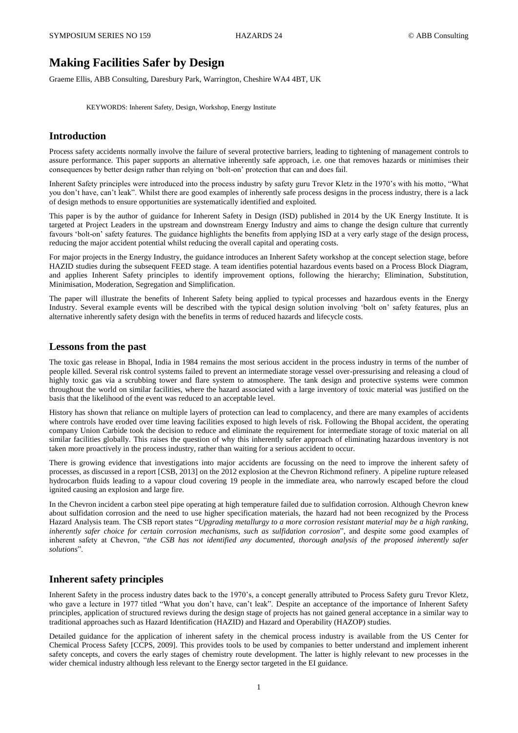# **Making Facilities Safer by Design**

Graeme Ellis, ABB Consulting, Daresbury Park, Warrington, Cheshire WA4 4BT, UK

KEYWORDS: Inherent Safety, Design, Workshop, Energy Institute

## **Introduction**

Process safety accidents normally involve the failure of several protective barriers, leading to tightening of management controls to assure performance. This paper supports an alternative inherently safe approach, i.e. one that removes hazards or minimises their consequences by better design rather than relying on 'bolt-on' protection that can and does fail.

Inherent Safety principles were introduced into the process industry by safety guru Trevor Kletz in the 1970's with his motto, "What you don't have, can't leak". Whilst there are good examples of inherently safe process designs in the process industry, there is a lack of design methods to ensure opportunities are systematically identified and exploited.

This paper is by the author of guidance for Inherent Safety in Design (ISD) published in 2014 by the UK Energy Institute. It is targeted at Project Leaders in the upstream and downstream Energy Industry and aims to change the design culture that currently favours 'bolt-on' safety features. The guidance highlights the benefits from applying ISD at a very early stage of the design process, reducing the major accident potential whilst reducing the overall capital and operating costs.

For major projects in the Energy Industry, the guidance introduces an Inherent Safety workshop at the concept selection stage, before HAZID studies during the subsequent FEED stage. A team identifies potential hazardous events based on a Process Block Diagram, and applies Inherent Safety principles to identify improvement options, following the hierarchy; Elimination, Substitution, Minimisation, Moderation, Segregation and Simplification.

The paper will illustrate the benefits of Inherent Safety being applied to typical processes and hazardous events in the Energy Industry. Several example events will be described with the typical design solution involving 'bolt on' safety features, plus an alternative inherently safety design with the benefits in terms of reduced hazards and lifecycle costs.

## **Lessons from the past**

The toxic gas release in Bhopal, India in 1984 remains the most serious accident in the process industry in terms of the number of people killed. Several risk control systems failed to prevent an intermediate storage vessel over-pressurising and releasing a cloud of highly toxic gas via a scrubbing tower and flare system to atmosphere. The tank design and protective systems were common throughout the world on similar facilities, where the hazard associated with a large inventory of toxic material was justified on the basis that the likelihood of the event was reduced to an acceptable level.

History has shown that reliance on multiple layers of protection can lead to complacency, and there are many examples of accidents where controls have eroded over time leaving facilities exposed to high levels of risk. Following the Bhopal accident, the operating company Union Carbide took the decision to reduce and eliminate the requirement for intermediate storage of toxic material on all similar facilities globally. This raises the question of why this inherently safer approach of eliminating hazardous inventory is not taken more proactively in the process industry, rather than waiting for a serious accident to occur.

There is growing evidence that investigations into major accidents are focussing on the need to improve the inherent safety of processes, as discussed in a report [CSB, 2013] on the 2012 explosion at the Chevron Richmond refinery. A pipeline rupture released hydrocarbon fluids leading to a vapour cloud covering 19 people in the immediate area, who narrowly escaped before the cloud ignited causing an explosion and large fire.

In the Chevron incident a carbon steel pipe operating at high temperature failed due to sulfidation corrosion. Although Chevron knew about sulfidation corrosion and the need to use higher specification materials, the hazard had not been recognized by the Process Hazard Analysis team. The CSB report states "*Upgrading metallurgy to a more corrosion resistant material may be a high ranking, inherently safer choice for certain corrosion mechanisms, such as sulfidation corrosion*", and despite some good examples of inherent safety at Chevron, "*the CSB has not identified any documented, thorough analysis of the proposed inherently safer solutions*".

## **Inherent safety principles**

Inherent Safety in the process industry dates back to the 1970's, a concept generally attributed to Process Safety guru Trevor Kletz, who gave a lecture in 1977 titled "What you don't have, can't leak". Despite an acceptance of the importance of Inherent Safety principles, application of structured reviews during the design stage of projects has not gained general acceptance in a similar way to traditional approaches such as Hazard Identification (HAZID) and Hazard and Operability (HAZOP) studies.

Detailed guidance for the application of inherent safety in the chemical process industry is available from the US Center for Chemical Process Safety [CCPS, 2009]. This provides tools to be used by companies to better understand and implement inherent safety concepts, and covers the early stages of chemistry route development. The latter is highly relevant to new processes in the wider chemical industry although less relevant to the Energy sector targeted in the EI guidance.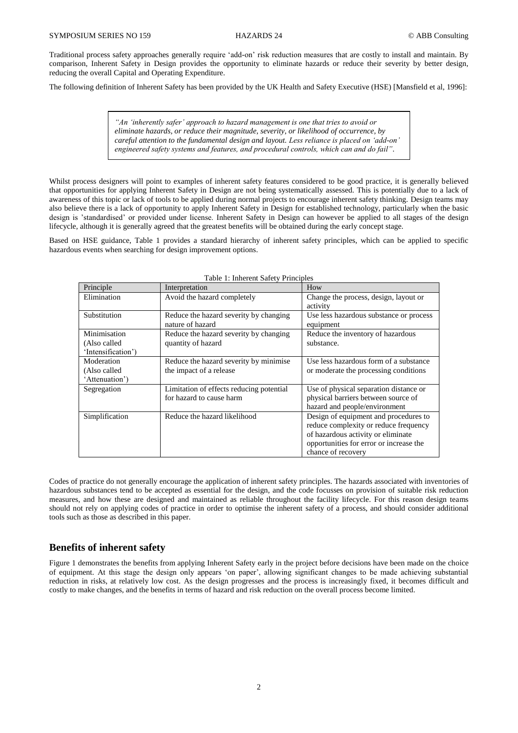Traditional process safety approaches generally require 'add-on' risk reduction measures that are costly to install and maintain. By comparison, Inherent Safety in Design provides the opportunity to eliminate hazards or reduce their severity by better design, reducing the overall Capital and Operating Expenditure.

The following definition of Inherent Safety has been provided by the UK Health and Safety Executive (HSE) [Mansfield et al, 1996]:

*"An 'inherently safer' approach to hazard management is one that tries to avoid or eliminate hazards, or reduce their magnitude, severity, or likelihood of occurrence, by careful attention to the fundamental design and layout. Less reliance is placed on 'add-on' engineered safety systems and features, and procedural controls, which can and do fail"*.

Whilst process designers will point to examples of inherent safety features considered to be good practice, it is generally believed that opportunities for applying Inherent Safety in Design are not being systematically assessed. This is potentially due to a lack of awareness of this topic or lack of tools to be applied during normal projects to encourage inherent safety thinking. Design teams may also believe there is a lack of opportunity to apply Inherent Safety in Design for established technology, particularly when the basic design is 'standardised' or provided under license. Inherent Safety in Design can however be applied to all stages of the design lifecycle, although it is generally agreed that the greatest benefits will be obtained during the early concept stage.

Based on HSE guidance, Table 1 provides a standard hierarchy of inherent safety principles, which can be applied to specific hazardous events when searching for design improvement options.

| Principle          | Interpretation                           | How                                     |
|--------------------|------------------------------------------|-----------------------------------------|
| Elimination        | Avoid the hazard completely              | Change the process, design, layout or   |
|                    |                                          | activity                                |
| Substitution       | Reduce the hazard severity by changing   | Use less hazardous substance or process |
|                    | nature of hazard                         | equipment                               |
| Minimisation       | Reduce the hazard severity by changing   | Reduce the inventory of hazardous       |
| (Also called       | quantity of hazard                       | substance.                              |
| 'Intensification') |                                          |                                         |
| Moderation         | Reduce the hazard severity by minimise   | Use less hazardous form of a substance  |
| (Also called       | the impact of a release                  | or moderate the processing conditions   |
| 'Attenuation')     |                                          |                                         |
| Segregation        | Limitation of effects reducing potential | Use of physical separation distance or  |
|                    | for hazard to cause harm                 | physical barriers between source of     |
|                    |                                          | hazard and people/environment           |
| Simplification     | Reduce the hazard likelihood             | Design of equipment and procedures to   |
|                    |                                          | reduce complexity or reduce frequency   |
|                    |                                          | of hazardous activity or eliminate      |
|                    |                                          | opportunities for error or increase the |
|                    |                                          | chance of recovery                      |

Table 1: Inherent Safety Principles

Codes of practice do not generally encourage the application of inherent safety principles. The hazards associated with inventories of hazardous substances tend to be accepted as essential for the design, and the code focusses on provision of suitable risk reduction measures, and how these are designed and maintained as reliable throughout the facility lifecycle. For this reason design teams should not rely on applying codes of practice in order to optimise the inherent safety of a process, and should consider additional tools such as those as described in this paper.

## **Benefits of inherent safety**

Figure 1 demonstrates the benefits from applying Inherent Safety early in the project before decisions have been made on the choice of equipment. At this stage the design only appears 'on paper', allowing significant changes to be made achieving substantial reduction in risks, at relatively low cost. As the design progresses and the process is increasingly fixed, it becomes difficult and costly to make changes, and the benefits in terms of hazard and risk reduction on the overall process become limited.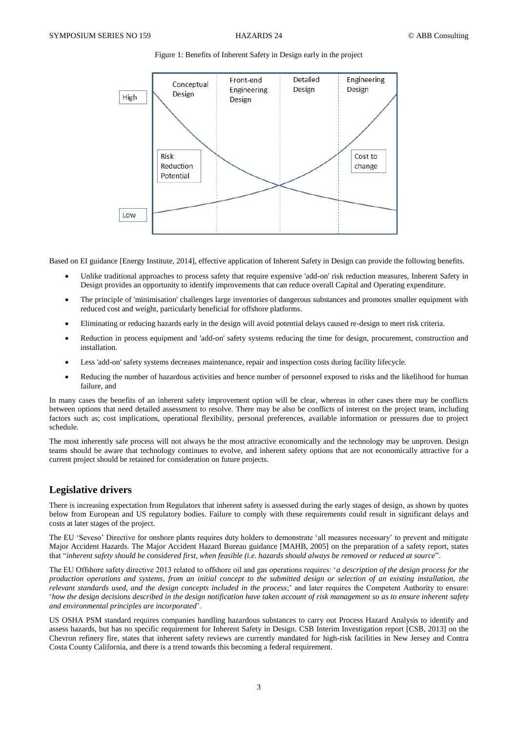### Figure 1: Benefits of Inherent Safety in Design early in the project



Based on EI guidance [Energy Institute, 2014], effective application of Inherent Safety in Design can provide the following benefits.

- Unlike traditional approaches to process safety that require expensive 'add-on' risk reduction measures, Inherent Safety in Design provides an opportunity to identify improvements that can reduce overall Capital and Operating expenditure.
- The principle of 'minimisation' challenges large inventories of dangerous substances and promotes smaller equipment with reduced cost and weight, particularly beneficial for offshore platforms.
- Eliminating or reducing hazards early in the design will avoid potential delays caused re-design to meet risk criteria.
- Reduction in process equipment and 'add-on' safety systems reducing the time for design, procurement, construction and installation.
- Less 'add-on' safety systems decreases maintenance, repair and inspection costs during facility lifecycle.
- Reducing the number of hazardous activities and hence number of personnel exposed to risks and the likelihood for human failure, and

In many cases the benefits of an inherent safety improvement option will be clear, whereas in other cases there may be conflicts between options that need detailed assessment to resolve. There may be also be conflicts of interest on the project team, including factors such as; cost implications, operational flexibility, personal preferences, available information or pressures due to project schedule.

The most inherently safe process will not always be the most attractive economically and the technology may be unproven. Design teams should be aware that technology continues to evolve, and inherent safety options that are not economically attractive for a current project should be retained for consideration on future projects.

## **Legislative drivers**

There is increasing expectation from Regulators that inherent safety is assessed during the early stages of design, as shown by quotes below from European and US regulatory bodies. Failure to comply with these requirements could result in significant delays and costs at later stages of the project.

The EU 'Seveso' Directive for onshore plants requires duty holders to demonstrate 'all measures necessary' to prevent and mitigate Major Accident Hazards. The Major Accident Hazard Bureau guidance [MAHB, 2005] on the preparation of a safety report, states that "*inherent safety should be considered first, when feasible (i.e. hazards should always be removed or reduced at source*".

The EU Offshore safety directive 2013 related to offshore oil and gas operations requires: '*a description of the design process for the production operations and systems, from an initial concept to the submitted design or selection of an existing installation, the relevant standards used, and the design concepts included in the process*;' and later requires the Competent Authority to ensure: '*how the design decisions described in the design notification have taken account of risk management so as to ensure inherent safety and environmental principles are incorporated*'.

US OSHA PSM standard requires companies handling hazardous substances to carry out Process Hazard Analysis to identify and assess hazards, but has no specific requirement for Inherent Safety in Design. CSB Interim Investigation report [CSB, 2013] on the Chevron refinery fire, states that inherent safety reviews are currently mandated for high-risk facilities in New Jersey and Contra Costa County California, and there is a trend towards this becoming a federal requirement.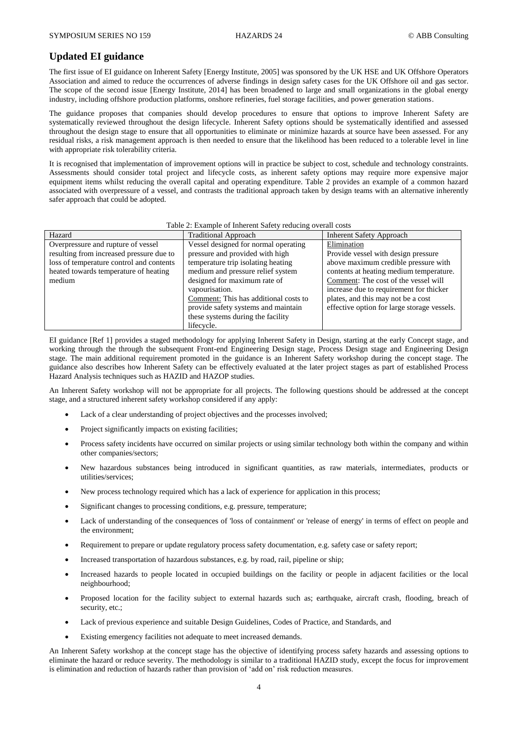## **Updated EI guidance**

The first issue of EI guidance on Inherent Safety [Energy Institute, 2005] was sponsored by the UK HSE and UK Offshore Operators Association and aimed to reduce the occurrences of adverse findings in design safety cases for the UK Offshore oil and gas sector. The scope of the second issue [Energy Institute, 2014] has been broadened to large and small organizations in the global energy industry, including offshore production platforms, onshore refineries, fuel storage facilities, and power generation stations.

The guidance proposes that companies should develop procedures to ensure that options to improve Inherent Safety are systematically reviewed throughout the design lifecycle. Inherent Safety options should be systematically identified and assessed throughout the design stage to ensure that all opportunities to eliminate or minimize hazards at source have been assessed. For any residual risks, a risk management approach is then needed to ensure that the likelihood has been reduced to a tolerable level in line with appropriate risk tolerability criteria.

It is recognised that implementation of improvement options will in practice be subject to cost, schedule and technology constraints. Assessments should consider total project and lifecycle costs, as inherent safety options may require more expensive major equipment items whilst reducing the overall capital and operating expenditure. Table 2 provides an example of a common hazard associated with overpressure of a vessel, and contrasts the traditional approach taken by design teams with an alternative inherently safer approach that could be adopted.

| Table 2: Example of Inherent Safety reducing overall costs |                                       |                                             |  |
|------------------------------------------------------------|---------------------------------------|---------------------------------------------|--|
| Hazard                                                     | <b>Traditional Approach</b>           | <b>Inherent Safety Approach</b>             |  |
| Overpressure and rupture of vessel                         | Vessel designed for normal operating  | Elimination                                 |  |
| resulting from increased pressure due to                   | pressure and provided with high       | Provide vessel with design pressure         |  |
| loss of temperature control and contents                   | temperature trip isolating heating    | above maximum credible pressure with        |  |
| heated towards temperature of heating                      | medium and pressure relief system     | contents at heating medium temperature.     |  |
| medium                                                     | designed for maximum rate of          | Comment: The cost of the vessel will        |  |
|                                                            | vapourisation.                        | increase due to requirement for thicker     |  |
|                                                            | Comment: This has additional costs to | plates, and this may not be a cost          |  |
|                                                            | provide safety systems and maintain   | effective option for large storage vessels. |  |
|                                                            | these systems during the facility     |                                             |  |
|                                                            | lifecycle.                            |                                             |  |

EI guidance [Ref 1] provides a staged methodology for applying Inherent Safety in Design, starting at the early Concept stage, and working through the through the subsequent Front-end Engineering Design stage, Process Design stage and Engineering Design stage. The main additional requirement promoted in the guidance is an Inherent Safety workshop during the concept stage. The guidance also describes how Inherent Safety can be effectively evaluated at the later project stages as part of established Process Hazard Analysis techniques such as HAZID and HAZOP studies.

An Inherent Safety workshop will not be appropriate for all projects. The following questions should be addressed at the concept stage, and a structured inherent safety workshop considered if any apply:

- Lack of a clear understanding of project objectives and the processes involved;
- Project significantly impacts on existing facilities;
- Process safety incidents have occurred on similar projects or using similar technology both within the company and within other companies/sectors;
- New hazardous substances being introduced in significant quantities, as raw materials, intermediates, products or utilities/services;
- New process technology required which has a lack of experience for application in this process;
- Significant changes to processing conditions, e.g. pressure, temperature;
- Lack of understanding of the consequences of 'loss of containment' or 'release of energy' in terms of effect on people and the environment;
- Requirement to prepare or update regulatory process safety documentation, e.g. safety case or safety report;
- Increased transportation of hazardous substances, e.g. by road, rail, pipeline or ship;
- Increased hazards to people located in occupied buildings on the facility or people in adjacent facilities or the local neighbourhood;
- Proposed location for the facility subject to external hazards such as; earthquake, aircraft crash, flooding, breach of security, etc.;
- Lack of previous experience and suitable Design Guidelines, Codes of Practice, and Standards, and
- Existing emergency facilities not adequate to meet increased demands.

An Inherent Safety workshop at the concept stage has the objective of identifying process safety hazards and assessing options to eliminate the hazard or reduce severity. The methodology is similar to a traditional HAZID study, except the focus for improvement is elimination and reduction of hazards rather than provision of 'add on' risk reduction measures.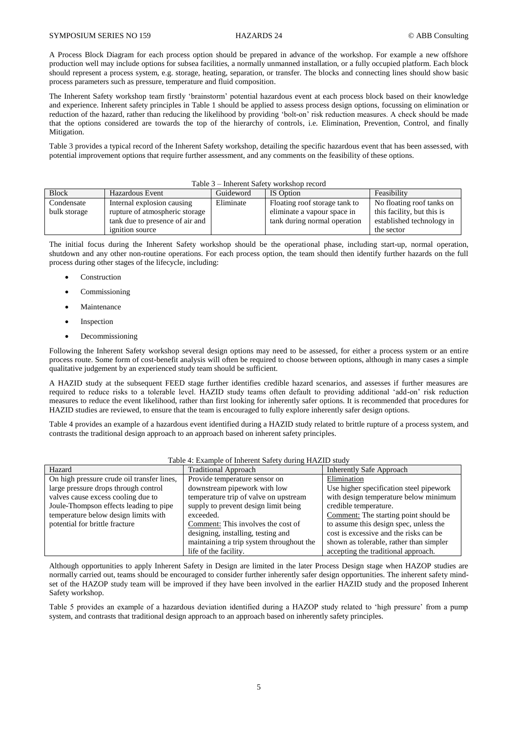A Process Block Diagram for each process option should be prepared in advance of the workshop. For example a new offshore production well may include options for subsea facilities, a normally unmanned installation, or a fully occupied platform. Each block should represent a process system, e.g. storage, heating, separation, or transfer. The blocks and connecting lines should show basic process parameters such as pressure, temperature and fluid composition.

The Inherent Safety workshop team firstly 'brainstorm' potential hazardous event at each process block based on their knowledge and experience. Inherent safety principles in Table 1 should be applied to assess process design options, focussing on elimination or reduction of the hazard, rather than reducing the likelihood by providing 'bolt-on' risk reduction measures. A check should be made that the options considered are towards the top of the hierarchy of controls, i.e. Elimination, Prevention, Control, and finally Mitigation.

Table 3 provides a typical record of the Inherent Safety workshop, detailing the specific hazardous event that has been assessed, with potential improvement options that require further assessment, and any comments on the feasibility of these options.

| Table 3 – Inherent Safety workshop record |                                 |           |                               |                            |
|-------------------------------------------|---------------------------------|-----------|-------------------------------|----------------------------|
| <b>Block</b>                              | <b>Hazardous Event</b>          | Guideword | IS Option                     | Feasibility                |
| Condensate                                | Internal explosion causing      | Eliminate | Floating roof storage tank to | No floating roof tanks on  |
| bulk storage                              | rupture of atmospheric storage  |           | eliminate a vapour space in   | this facility, but this is |
|                                           | tank due to presence of air and |           | tank during normal operation  | established technology in  |
|                                           | <i>ignition</i> source          |           |                               | the sector                 |

The initial focus during the Inherent Safety workshop should be the operational phase, including start-up, normal operation, shutdown and any other non-routine operations. For each process option, the team should then identify further hazards on the full process during other stages of the lifecycle, including:

- Construction
- Commissioning
- Maintenance
- Inspection
- Decommissioning

Following the Inherent Safety workshop several design options may need to be assessed, for either a process system or an entire process route. Some form of cost-benefit analysis will often be required to choose between options, although in many cases a simple qualitative judgement by an experienced study team should be sufficient.

A HAZID study at the subsequent FEED stage further identifies credible hazard scenarios, and assesses if further measures are required to reduce risks to a tolerable level. HAZID study teams often default to providing additional 'add-on' risk reduction measures to reduce the event likelihood, rather than first looking for inherently safer options. It is recommended that procedures for HAZID studies are reviewed, to ensure that the team is encouraged to fully explore inherently safer design options.

Table 4 provides an example of a hazardous event identified during a HAZID study related to brittle rupture of a process system, and contrasts the traditional design approach to an approach based on inherent safety principles.

| Table 4. Example of inherent safety during HAZID study |                                          |                                         |  |
|--------------------------------------------------------|------------------------------------------|-----------------------------------------|--|
| Hazard                                                 | <b>Traditional Approach</b>              | <b>Inherently Safe Approach</b>         |  |
| On high pressure crude oil transfer lines,             | Provide temperature sensor on            | Elimination                             |  |
| large pressure drops through control                   | downstream pipework with low             | Use higher specification steel pipework |  |
| valves cause excess cooling due to                     | temperature trip of valve on upstream    | with design temperature below minimum   |  |
| Joule-Thompson effects leading to pipe                 | supply to prevent design limit being     | credible temperature.                   |  |
| temperature below design limits with                   | exceeded.                                | Comment: The starting point should be   |  |
| potential for brittle fracture                         | Comment: This involves the cost of       | to assume this design spec, unless the  |  |
|                                                        | designing, installing, testing and       | cost is excessive and the risks can be  |  |
|                                                        | maintaining a trip system throughout the | shown as tolerable, rather than simpler |  |
|                                                        | life of the facility.                    | accepting the traditional approach.     |  |

### Table 4: Example of Inherent Safety during HAZID study

Although opportunities to apply Inherent Safety in Design are limited in the later Process Design stage when HAZOP studies are normally carried out, teams should be encouraged to consider further inherently safer design opportunities. The inherent safety mindset of the HAZOP study team will be improved if they have been involved in the earlier HAZID study and the proposed Inherent Safety workshop.

Table 5 provides an example of a hazardous deviation identified during a HAZOP study related to 'high pressure' from a pump system, and contrasts that traditional design approach to an approach based on inherently safety principles.